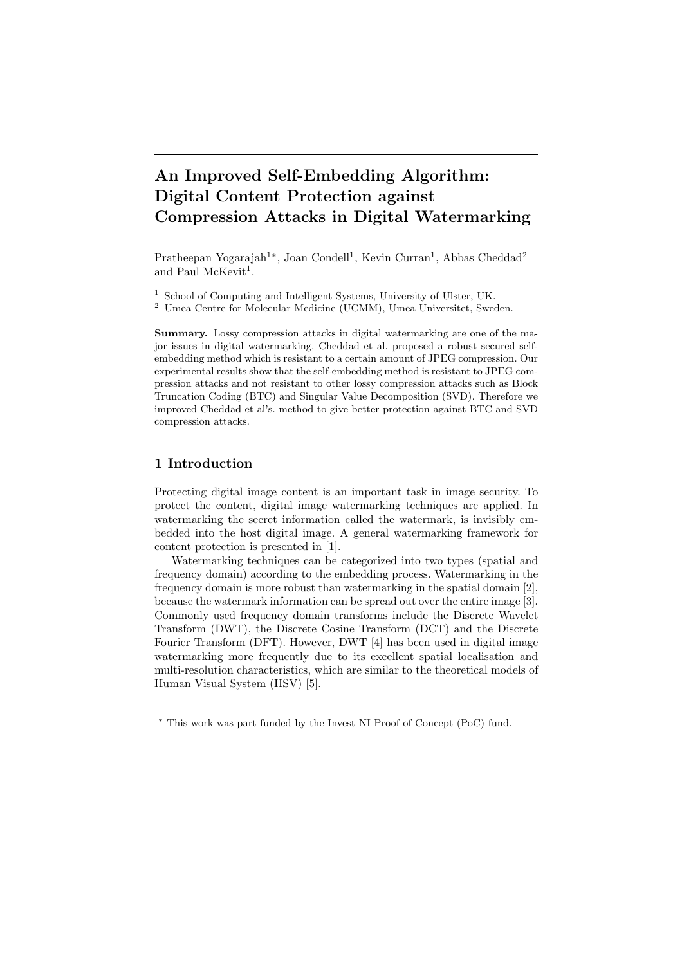# An Improved Self-Embedding Algorithm: Digital Content Protection against Compression Attacks in Digital Watermarking

Pratheepan Yogarajah<sup>1</sup><sup>∗</sup>, Joan Condell<sup>1</sup>, Kevin Curran<sup>1</sup>, Abbas Cheddad<sup>2</sup> and Paul McKevit<sup>1</sup>.

<sup>1</sup> School of Computing and Intelligent Systems, University of Ulster, UK.

<sup>2</sup> Umea Centre for Molecular Medicine (UCMM), Umea Universitet, Sweden.

Summary. Lossy compression attacks in digital watermarking are one of the major issues in digital watermarking. Cheddad et al. proposed a robust secured selfembedding method which is resistant to a certain amount of JPEG compression. Our experimental results show that the self-embedding method is resistant to JPEG compression attacks and not resistant to other lossy compression attacks such as Block Truncation Coding (BTC) and Singular Value Decomposition (SVD). Therefore we improved Cheddad et al's. method to give better protection against BTC and SVD compression attacks.

## 1 Introduction

Protecting digital image content is an important task in image security. To protect the content, digital image watermarking techniques are applied. In watermarking the secret information called the watermark, is invisibly embedded into the host digital image. A general watermarking framework for content protection is presented in [1].

Watermarking techniques can be categorized into two types (spatial and frequency domain) according to the embedding process. Watermarking in the frequency domain is more robust than watermarking in the spatial domain [2], because the watermark information can be spread out over the entire image [3]. Commonly used frequency domain transforms include the Discrete Wavelet Transform (DWT), the Discrete Cosine Transform (DCT) and the Discrete Fourier Transform (DFT). However, DWT [4] has been used in digital image watermarking more frequently due to its excellent spatial localisation and multi-resolution characteristics, which are similar to the theoretical models of Human Visual System (HSV) [5].

<sup>∗</sup> This work was part funded by the Invest NI Proof of Concept (PoC) fund.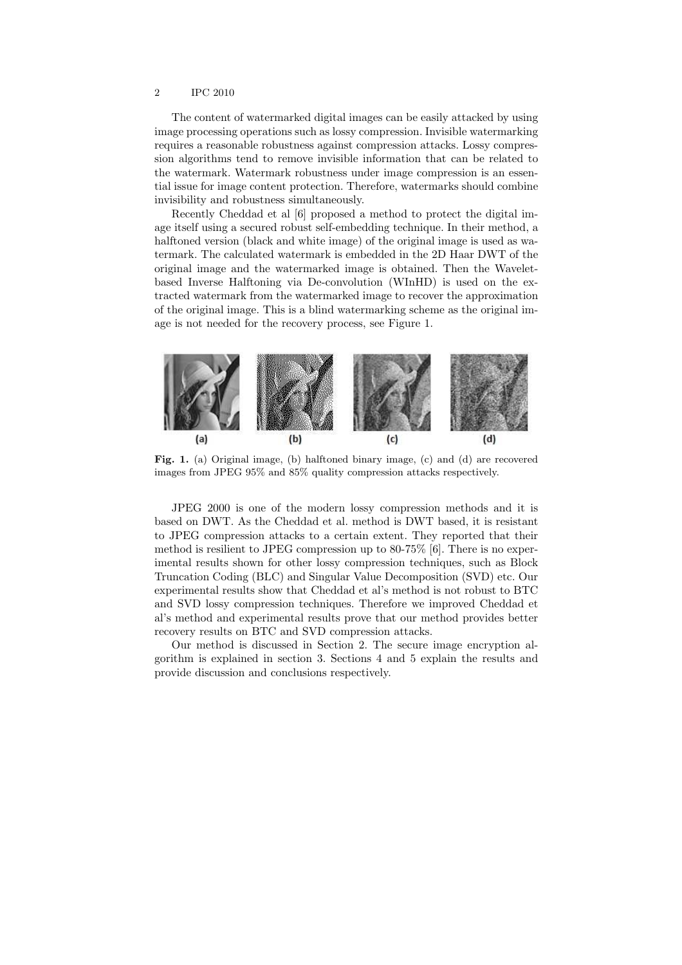The content of watermarked digital images can be easily attacked by using image processing operations such as lossy compression. Invisible watermarking requires a reasonable robustness against compression attacks. Lossy compression algorithms tend to remove invisible information that can be related to the watermark. Watermark robustness under image compression is an essential issue for image content protection. Therefore, watermarks should combine invisibility and robustness simultaneously.

Recently Cheddad et al [6] proposed a method to protect the digital image itself using a secured robust self-embedding technique. In their method, a halftoned version (black and white image) of the original image is used as watermark. The calculated watermark is embedded in the 2D Haar DWT of the original image and the watermarked image is obtained. Then the Waveletbased Inverse Halftoning via De-convolution (WInHD) is used on the extracted watermark from the watermarked image to recover the approximation of the original image. This is a blind watermarking scheme as the original image is not needed for the recovery process, see Figure 1.



Fig. 1. (a) Original image, (b) halftoned binary image, (c) and (d) are recovered images from JPEG 95% and 85% quality compression attacks respectively.

JPEG 2000 is one of the modern lossy compression methods and it is based on DWT. As the Cheddad et al. method is DWT based, it is resistant to JPEG compression attacks to a certain extent. They reported that their method is resilient to JPEG compression up to 80-75% [6]. There is no experimental results shown for other lossy compression techniques, such as Block Truncation Coding (BLC) and Singular Value Decomposition (SVD) etc. Our experimental results show that Cheddad et al's method is not robust to BTC and SVD lossy compression techniques. Therefore we improved Cheddad et al's method and experimental results prove that our method provides better recovery results on BTC and SVD compression attacks.

Our method is discussed in Section 2. The secure image encryption algorithm is explained in section 3. Sections 4 and 5 explain the results and provide discussion and conclusions respectively.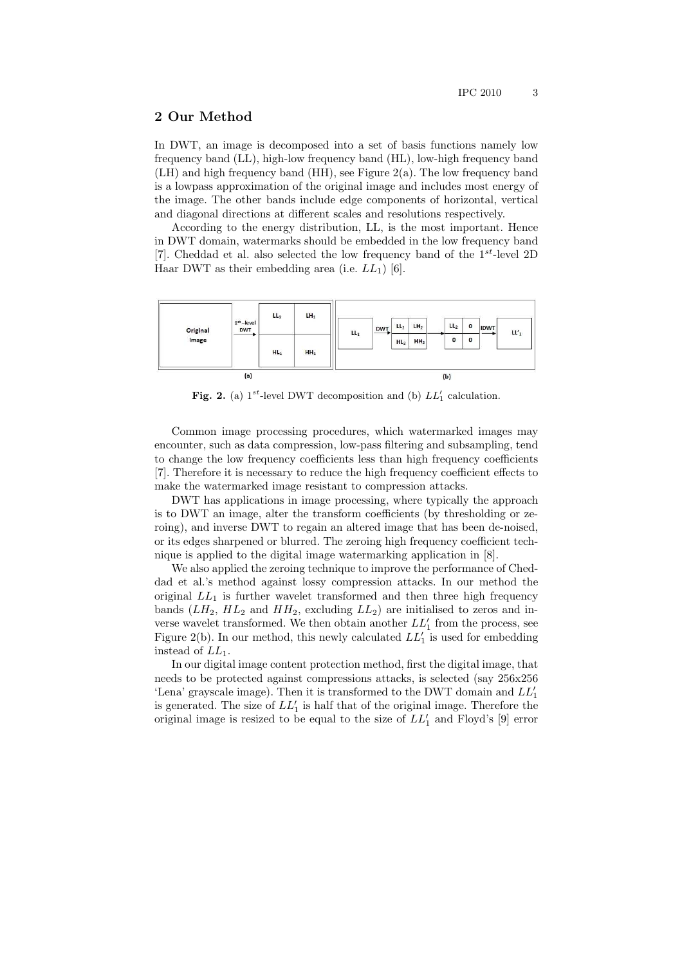## 2 Our Method

In DWT, an image is decomposed into a set of basis functions namely low frequency band (LL), high-low frequency band (HL), low-high frequency band (LH) and high frequency band (HH), see Figure 2(a). The low frequency band is a lowpass approximation of the original image and includes most energy of the image. The other bands include edge components of horizontal, vertical and diagonal directions at different scales and resolutions respectively.

According to the energy distribution, LL, is the most important. Hence in DWT domain, watermarks should be embedded in the low frequency band [7]. Cheddad et al. also selected the low frequency band of the  $1^{st}$ -level 2D Haar DWT as their embedding area (i.e.  $LL_1$ ) [6].



Fig. 2. (a)  $1^{st}$ -level DWT decomposition and (b)  $LL'_1$  calculation.

Common image processing procedures, which watermarked images may encounter, such as data compression, low-pass filtering and subsampling, tend to change the low frequency coefficients less than high frequency coefficients [7]. Therefore it is necessary to reduce the high frequency coefficient effects to make the watermarked image resistant to compression attacks.

DWT has applications in image processing, where typically the approach is to DWT an image, alter the transform coefficients (by thresholding or zeroing), and inverse DWT to regain an altered image that has been de-noised, or its edges sharpened or blurred. The zeroing high frequency coefficient technique is applied to the digital image watermarking application in [8].

We also applied the zeroing technique to improve the performance of Cheddad et al.'s method against lossy compression attacks. In our method the original  $LL_1$  is further wavelet transformed and then three high frequency bands  $(LH_2, HL_2$  and  $HH_2$ , excluding  $LL_2$ ) are initialised to zeros and inverse wavelet transformed. We then obtain another  $LL_1'$  from the process, see Figure 2(b). In our method, this newly calculated  $LL'_{1}$  is used for embedding instead of  $LL_1$ .

In our digital image content protection method, first the digital image, that needs to be protected against compressions attacks, is selected (say 256x256 'Lena' grayscale image). Then it is transformed to the DWT domain and  $LL_1^\prime$ is generated. The size of  $LL_1'$  is half that of the original image. Therefore the original image is resized to be equal to the size of  $LL'_1$  and Floyd's [9] error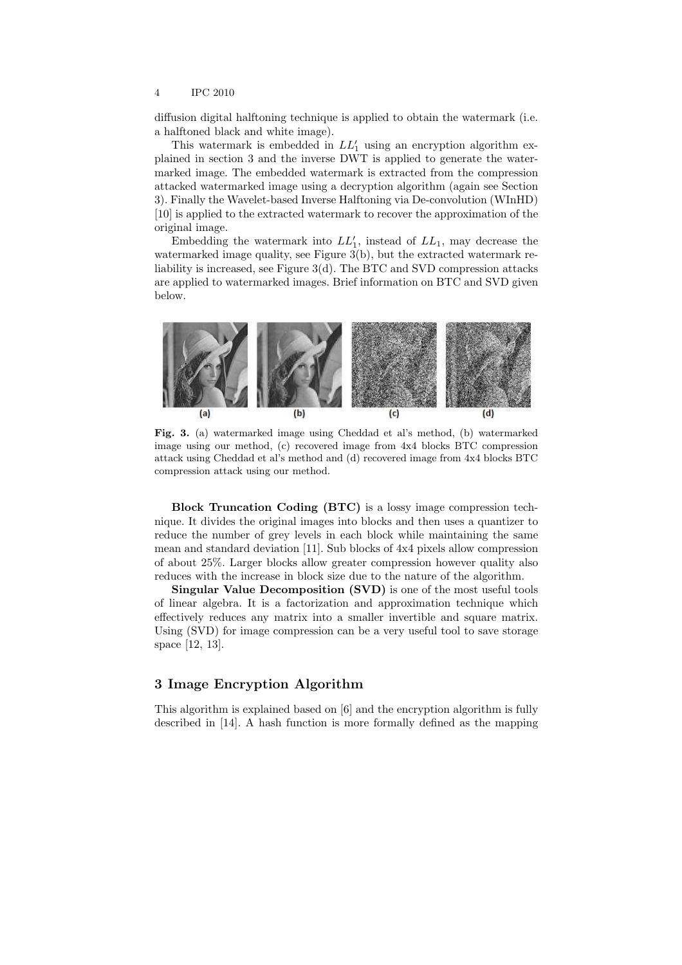diffusion digital halftoning technique is applied to obtain the watermark (i.e. a halftoned black and white image).

This watermark is embedded in  $LL_1'$  using an encryption algorithm explained in section 3 and the inverse DWT is applied to generate the watermarked image. The embedded watermark is extracted from the compression attacked watermarked image using a decryption algorithm (again see Section 3). Finally the Wavelet-based Inverse Halftoning via De-convolution (WInHD) [10] is applied to the extracted watermark to recover the approximation of the original image.

Embedding the watermark into  $LL_1'$ , instead of  $LL_1$ , may decrease the watermarked image quality, see Figure 3(b), but the extracted watermark reliability is increased, see Figure 3(d). The BTC and SVD compression attacks are applied to watermarked images. Brief information on BTC and SVD given below.



Fig. 3. (a) watermarked image using Cheddad et al's method, (b) watermarked image using our method, (c) recovered image from 4x4 blocks BTC compression attack using Cheddad et al's method and (d) recovered image from 4x4 blocks BTC compression attack using our method.

Block Truncation Coding (BTC) is a lossy image compression technique. It divides the original images into blocks and then uses a quantizer to reduce the number of grey levels in each block while maintaining the same mean and standard deviation [11]. Sub blocks of 4x4 pixels allow compression of about 25%. Larger blocks allow greater compression however quality also reduces with the increase in block size due to the nature of the algorithm.

Singular Value Decomposition (SVD) is one of the most useful tools of linear algebra. It is a factorization and approximation technique which effectively reduces any matrix into a smaller invertible and square matrix. Using (SVD) for image compression can be a very useful tool to save storage space [12, 13].

## 3 Image Encryption Algorithm

This algorithm is explained based on [6] and the encryption algorithm is fully described in [14]. A hash function is more formally defined as the mapping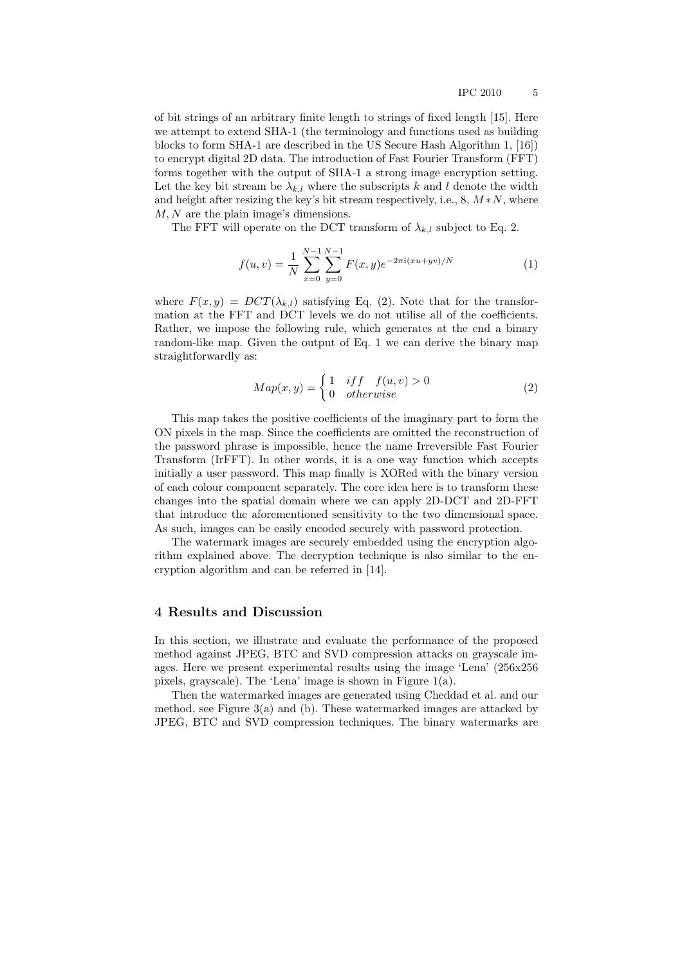of bit strings of an arbitrary finite length to strings of fixed length [15]. Here we attempt to extend SHA-1 (the terminology and functions used as building blocks to form SHA-1 are described in the US Secure Hash Algorithm 1, [16]) to encrypt digital 2D data. The introduction of Fast Fourier Transform (FFT) forms together with the output of SHA-1 a strong image encryption setting. Let the key bit stream be  $\lambda_{k,l}$  where the subscripts k and l denote the width and height after resizing the key's bit stream respectively, i.e.,  $8, M*N$ , where M, N are the plain image's dimensions.

The FFT will operate on the DCT transform of  $\lambda_{k,l}$  subject to Eq. 2.

$$
f(u,v) = \frac{1}{N} \sum_{x=0}^{N-1} \sum_{y=0}^{N-1} F(x,y) e^{-2\pi i (xu + yv)/N}
$$
 (1)

where  $F(x, y) = DCT(\lambda_{k,l})$  satisfying Eq. (2). Note that for the transformation at the FFT and DCT levels we do not utilise all of the coefficients. Rather, we impose the following rule, which generates at the end a binary random-like map. Given the output of Eq. 1 we can derive the binary map straightforwardly as:

$$
Map(x, y) = \begin{cases} 1 & if f \quad f(u, v) > 0 \\ 0 & otherwise \end{cases}
$$
 (2)

This map takes the positive coefficients of the imaginary part to form the ON pixels in the map. Since the coefficients are omitted the reconstruction of the password phrase is impossible, hence the name Irreversible Fast Fourier Transform (IrFFT). In other words, it is a one way function which accepts initially a user password. This map finally is XORed with the binary version of each colour component separately. The core idea here is to transform these changes into the spatial domain where we can apply 2D-DCT and 2D-FFT that introduce the aforementioned sensitivity to the two dimensional space. As such, images can be easily encoded securely with password protection.

The watermark images are securely embedded using the encryption algorithm explained above. The decryption technique is also similar to the encryption algorithm and can be referred in [14].

#### 4 Results and Discussion

In this section, we illustrate and evaluate the performance of the proposed method against JPEG, BTC and SVD compression attacks on grayscale images. Here we present experimental results using the image 'Lena' (256x256 pixels, grayscale). The 'Lena' image is shown in Figure 1(a).

Then the watermarked images are generated using Cheddad et al. and our method, see Figure 3(a) and (b). These watermarked images are attacked by JPEG, BTC and SVD compression techniques. The binary watermarks are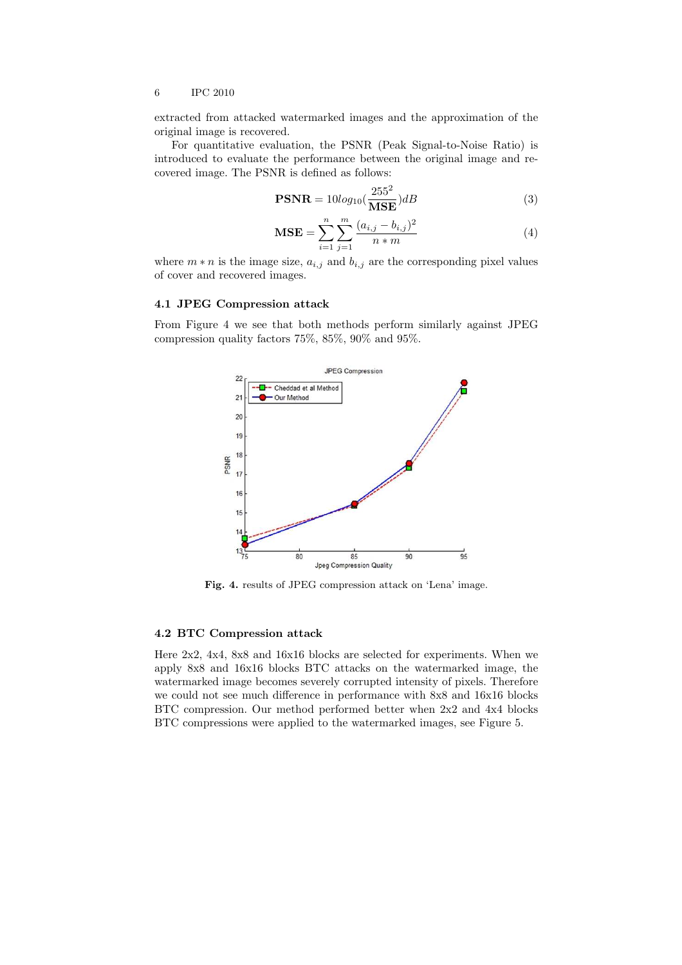extracted from attacked watermarked images and the approximation of the original image is recovered.

For quantitative evaluation, the PSNR (Peak Signal-to-Noise Ratio) is introduced to evaluate the performance between the original image and recovered image. The PSNR is defined as follows:

$$
\text{PSNR} = 10\log_{10}\left(\frac{255^2}{\text{MSE}}\right)dB\tag{3}
$$

$$
\text{MSE} = \sum_{i=1}^{n} \sum_{j=1}^{m} \frac{(a_{i,j} - b_{i,j})^2}{n \cdot m}
$$
(4)

where  $m * n$  is the image size,  $a_{i,j}$  and  $b_{i,j}$  are the corresponding pixel values of cover and recovered images.

#### 4.1 JPEG Compression attack

From Figure 4 we see that both methods perform similarly against JPEG compression quality factors 75%, 85%, 90% and 95%.



Fig. 4. results of JPEG compression attack on 'Lena' image.

#### 4.2 BTC Compression attack

Here 2x2, 4x4, 8x8 and 16x16 blocks are selected for experiments. When we apply 8x8 and 16x16 blocks BTC attacks on the watermarked image, the watermarked image becomes severely corrupted intensity of pixels. Therefore we could not see much difference in performance with 8x8 and 16x16 blocks BTC compression. Our method performed better when 2x2 and 4x4 blocks BTC compressions were applied to the watermarked images, see Figure 5.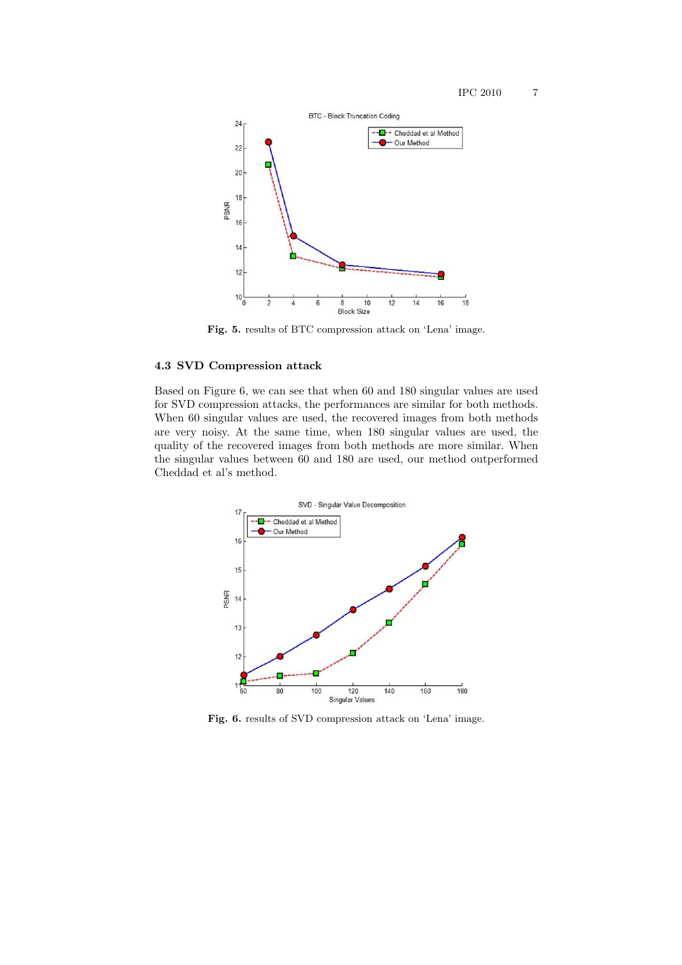

Fig. 5. results of BTC compression attack on 'Lena' image.

#### 4.3 SVD Compression attack

Based on Figure 6, we can see that when 60 and 180 singular values are used for SVD compression attacks, the performances are similar for both methods. When 60 singular values are used, the recovered images from both methods are very noisy. At the same time, when 180 singular values are used, the quality of the recovered images from both methods are more similar. When the singular values between 60 and 180 are used, our method outperformed Cheddad et al's method.



Fig. 6. results of SVD compression attack on 'Lena' image.